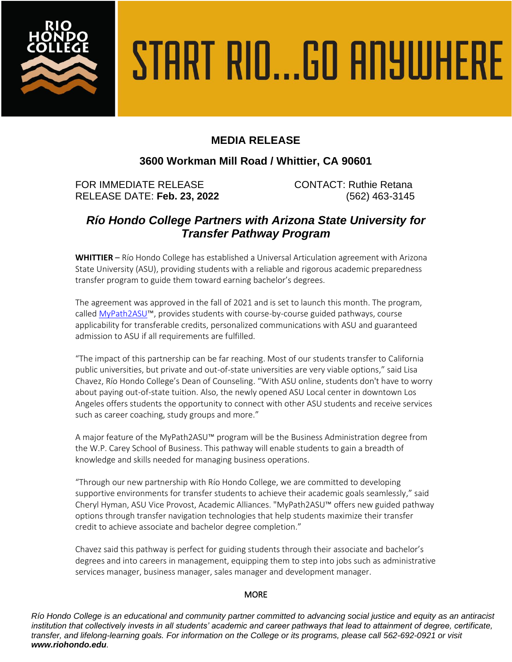

# START RIO...GO ANYWHERE

## **MEDIA RELEASE**

### **3600 Workman Mill Road / Whittier, CA 90601**

FOR IMMEDIATE RELEASE CONTACT: Ruthie Retana RELEASE DATE: **Feb. 23, 2022** (562) 463-3145

# *Río Hondo College Partners with Arizona State University for Transfer Pathway Program*

**WHITTIER** – Río Hondo College has established a Universal Articulation agreement with Arizona State University (ASU), providing students with a reliable and rigorous academic preparedness transfer program to guide them toward earning bachelor's degrees.

The agreement was approved in the fall of 2021 and is set to launch this month. The program, called [MyPath2ASU](https://admission.asu.edu/transfer/MyPath2ASU)™, provides students with course-by-course guided pathways, course applicability for transferable credits, personalized communications with ASU and guaranteed admission to ASU if all requirements are fulfilled.

"The impact of this partnership can be far reaching. Most of our students transfer to California public universities, but private and out-of-state universities are very viable options," said Lisa Chavez, Río Hondo College's Dean of Counseling. "With ASU online, students don't have to worry about paying out-of-state tuition. Also, the newly opened ASU Local center in downtown Los Angeles offers students the opportunity to connect with other ASU students and receive services such as career coaching, study groups and more."

A major feature of the MyPath2ASU™ program will be the Business Administration degree from the W.P. Carey School of Business. This pathway will enable students to gain a breadth of knowledge and skills needed for managing business operations.

"Through our new partnership with Río Hondo College, we are committed to developing supportive environments for transfer students to achieve their academic goals seamlessly," said Cheryl Hyman, ASU Vice Provost, Academic Alliances. "MyPath2ASU™ offers new guided pathway options through transfer navigation technologies that help students maximize their transfer credit to achieve associate and bachelor degree completion."

Chavez said this pathway is perfect for guiding students through their associate and bachelor's degrees and into careers in management, equipping them to step into jobs such as administrative services manager, business manager, sales manager and development manager.

### **MORE**

*Río Hondo College is an educational and community partner committed to advancing social justice and equity as an antiracist institution that collectively invests in all students' academic and career pathways that lead to attainment of degree, certificate, transfer, and lifelong-learning goals. For information on the College or its programs, please call 562-692-0921 or visit www.riohondo.edu.*